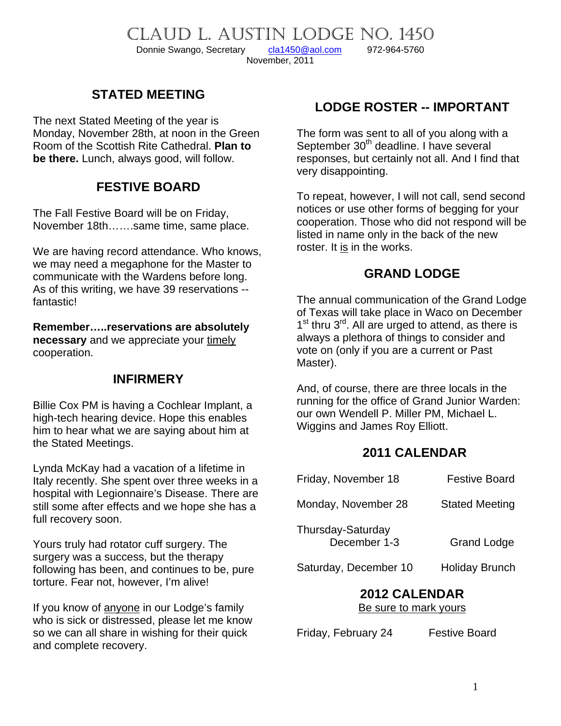CLAUD L. AUSTIN LODGE NO. 1450<br>Donnie Swango, Secretary cla1450@aol.com 972-964-5760 Donnie Swango, Secretary [cla1450@aol.com](mailto:cla1450@aol.com) 972-964-5760 November, 2011

### **STATED MEETING**

The next Stated Meeting of the year is Monday, November 28th, at noon in the Green Room of the Scottish Rite Cathedral. **Plan to be there.** Lunch, always good, will follow.

### **FESTIVE BOARD**

The Fall Festive Board will be on Friday, November 18th…….same time, same place.

We are having record attendance. Who knows, we may need a megaphone for the Master to communicate with the Wardens before long. As of this writing, we have 39 reservations - fantastic!

**Remember…..reservations are absolutely necessary** and we appreciate your timely cooperation.

### **INFIRMERY**

Billie Cox PM is having a Cochlear Implant, a high-tech hearing device. Hope this enables him to hear what we are saying about him at the Stated Meetings.

Lynda McKay had a vacation of a lifetime in Italy recently. She spent over three weeks in a hospital with Legionnaire's Disease. There are still some after effects and we hope she has a full recovery soon.

Yours truly had rotator cuff surgery. The surgery was a success, but the therapy following has been, and continues to be, pure torture. Fear not, however, I'm alive!

If you know of anyone in our Lodge's family who is sick or distressed, please let me know so we can all share in wishing for their quick and complete recovery.

# **LODGE ROSTER -- IMPORTANT**

The form was sent to all of you along with a September 30<sup>th</sup> deadline. I have several responses, but certainly not all. And I find that very disappointing.

To repeat, however, I will not call, send second notices or use other forms of begging for your cooperation. Those who did not respond will be listed in name only in the back of the new roster. It is in the works.

### **GRAND LODGE**

The annual communication of the Grand Lodge of Texas will take place in Waco on December  $1<sup>st</sup>$  thru  $3<sup>rd</sup>$ . All are urged to attend, as there is always a plethora of things to consider and vote on (only if you are a current or Past Master).

And, of course, there are three locals in the running for the office of Grand Junior Warden: our own Wendell P. Miller PM, Michael L. Wiggins and James Roy Elliott.

#### **2011 CALENDAR**

| Friday, November 18               | <b>Festive Board</b>  |
|-----------------------------------|-----------------------|
| Monday, November 28               | <b>Stated Meeting</b> |
| Thursday-Saturday<br>December 1-3 | <b>Grand Lodge</b>    |
| Saturday, December 10             | <b>Holiday Brunch</b> |

#### **2012 CALENDAR**  Be sure to mark yours

Friday, February 24 Festive Board